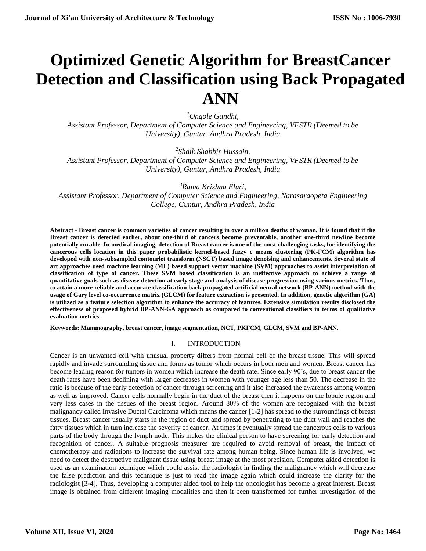# **Optimized Genetic Algorithm for BreastCancer Detection and Classification using Back Propagated ANN**

*<sup>1</sup>Ongole Gandhi,*

*Assistant Professor, Department of Computer Science and Engineering, VFSTR (Deemed to be University), Guntur, Andhra Pradesh, India*

*2 Shaik Shabbir Hussain,*

*Assistant Professor, Department of Computer Science and Engineering, VFSTR (Deemed to be University), Guntur, Andhra Pradesh, India*

*<sup>3</sup>Rama Krishna Eluri,*

*Assistant Professor, Department of Computer Science and Engineering, Narasaraopeta Engineering College, Guntur, Andhra Pradesh, India*

**Abstract - Breast cancer is common varieties of cancer resulting in over a million deaths of woman. It is found that if the Breast cancer is detected earlier, about one-third of cancers become preventable, another one-third newline become potentially curable. In medical imaging, detection of Breast cancer is one of the most challenging tasks, for identifying the cancerous cells location in this paper probabilistic kernel-based fuzzy c means clustering (PK-FCM) algorithm has developed with non-subsampled contourlet transform (NSCT) based image denoising and enhancements. Several state of art approaches used machine learning (ML) based support vector machine (SVM) approaches to assist interpretation of classification of type of cancer. These SVM based classification is an ineffective approach to achieve a range of quantitative goals such as disease detection at early stage and analysis of disease progression using various metrics. Thus, to attain a more reliable and accurate classification back propagated artificial neural network (BP-ANN) method with the usage of Gary level co-occurrence matrix (GLCM) for feature extraction is presented. In addition, genetic algorithm (GA) is utilized as a feature selection algorithm to enhance the accuracy of features. Extensive simulation results disclosed the effectiveness of proposed hybrid BP-ANN-GA approach as compared to conventional classifiers in terms of qualitative evaluation metrics.**

**Keywords: Mammography, breast cancer, image segmentation, NCT, PKFCM, GLCM, SVM and BP-ANN.**

## I. INTRODUCTION

Cancer is an unwanted cell with unusual property differs from normal cell of the breast tissue. This will spread rapidly and invade surrounding tissue and forms as tumor which occurs in both men and women. Breast cancer has become leading reason for tumors in women which increase the death rate. Since early 90's, due to breast cancer the death rates have been declining with larger decreases in women with younger age less than 50. The decrease in the ratio is because of the early detection of cancer through screening and it also increased the awareness among women as well as improved**.** Cancer cells normally begin in the duct of the breast then it happens on the lobule region and very less cases in the tissues of the breast region. Around 80% of the women are recognized with the breast malignancy called Invasive Ductal Carcinoma which means the cancer [1-2] has spread to the surroundings of breast tissues. Breast cancer usually starts in the region of duct and spread by penetrating to the duct wall and reaches the fatty tissues which in turn increase the severity of cancer. At times it eventually spread the cancerous cells to various parts of the body through the lymph node. This makes the clinical person to have screening for early detection and recognition of cancer. A suitable prognosis measures are required to avoid removal of breast, the impact of chemotherapy and radiations to increase the survival rate among human being. Since human life is involved, we need to detect the destructive malignant tissue using breast image at the most precision. Computer aided detection is used as an examination technique which could assist the radiologist in finding the malignancy which will decrease the false prediction and this technique is just to read the image again which could increase the clarity for the radiologist [3-4]. Thus, developing a computer aided tool to help the oncologist has become a great interest. Breast image is obtained from different imaging modalities and then it been transformed for further investigation of the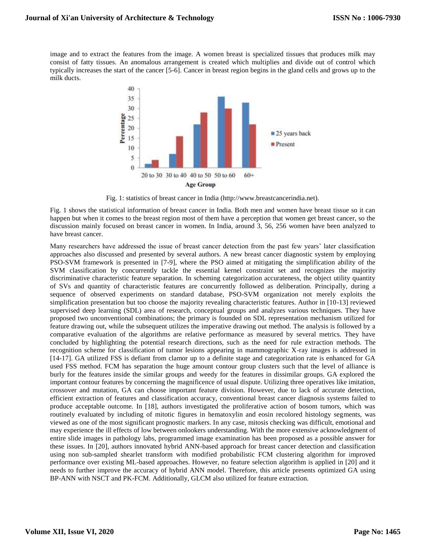image and to extract the features from the image. A women breast is specialized tissues that produces milk may consist of fatty tissues. An anomalous arrangement is created which multiplies and divide out of control which typically increases the start of the cancer [5-6]. Cancer in breast region begins in the gland cells and grows up to the milk ducts.



Fig. 1: statistics of breast cancer in India (http://www.breastcancerindia.net).

Fig. 1 shows the statistical information of breast cancer in India. Both men and women have breast tissue so it can happen but when it comes to the breast region most of them have a perception that women get breast cancer, so the discussion mainly focused on breast cancer in women. In India, around 3, 56, 256 women have been analyzed to have breast cancer.

Many researchers have addressed the issue of breast cancer detection from the past few years' later classification approaches also discussed and presented by several authors. A new breast cancer diagnostic system by employing PSO-SVM framework is presented in [7-9], where the PSO aimed at mitigating the simplification ability of the SVM classification by concurrently tackle the essential kernel constraint set and recognizes the majority discriminative characteristic feature separation. In scheming categorization accurateness, the object utility quantity of SVs and quantity of characteristic features are concurrently followed as deliberation. Principally, during a sequence of observed experiments on standard database, PSO-SVM organization not merely exploits the simplification presentation but too choose the majority revealing characteristic features. Author in [10-13] reviewed supervised deep learning (SDL) area of research, conceptual groups and analyzes various techniques. They have proposed two unconventional combinations; the primary is founded on SDL representation mechanism utilized for feature drawing out, while the subsequent utilizes the imperative drawing out method. The analysis is followed by a comparative evaluation of the algorithms are relative performance as measured by several metrics. They have concluded by highlighting the potential research directions, such as the need for rule extraction methods. The recognition scheme for classification of tumor lesions appearing in mammographic X-ray images is addressed in [14-17]. GA utilized FSS is defiant from clamor up to a definite stage and categorization rate is enhanced for GA used FSS method. FCM has separation the huge amount contour group clusters such that the level of alliance is burly for the features inside the similar groups and weedy for the features in dissimilar groups. GA explored the important contour features by concerning the magnificence of usual dispute. Utilizing three operatives like imitation, crossover and mutation, GA can choose important feature division. However, due to lack of accurate detection, efficient extraction of features and classification accuracy, conventional breast cancer diagnosis systems failed to produce acceptable outcome. In [18], authors investigated the proliferative action of bosom tumors, which was routinely evaluated by including of mitotic figures in hematoxylin and eosin recolored histology segments, was viewed as one of the most significant prognostic markers. In any case, mitosis checking was difficult, emotional and may experience the ill effects of low between onlookers understanding. With the more extensive acknowledgment of entire slide images in pathology labs, programmed image examination has been proposed as a possible answer for these issues. In [20], authors innovated hybrid ANN-based approach for breast cancer detection and classification using non sub-sampled shearlet transform with modified probabilistic FCM clustering algorithm for improved performance over existing ML-based approaches. However, no feature selection algorithm is applied in [20] and it needs to further improve the accuracy of hybrid ANN model. Therefore, this article presents optimized GA using BP-ANN with NSCT and PK-FCM. Additionally, GLCM also utilized for feature extraction.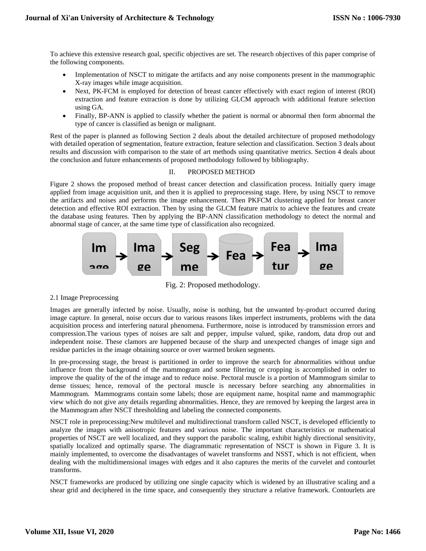To achieve this extensive research goal, specific objectives are set. The research objectives of this paper comprise of the following components.

- Implementation of NSCT to mitigate the artifacts and any noise components present in the mammographic X-ray images while image acquisition.
- Next, PK-FCM is employed for detection of breast cancer effectively with exact region of interest (ROI) extraction and feature extraction is done by utilizing GLCM approach with additional feature selection using GA.
- Finally, BP-ANN is applied to classify whether the patient is normal or abnormal then form abnormal the type of cancer is classified as benign or malignant.

Rest of the paper is planned as following Section 2 deals about the detailed architecture of proposed methodology with detailed operation of segmentation, feature extraction, feature selection and classification. Section 3 deals about results and discussion with comparison to the state of art methods using quantitative metrics. Section 4 deals about the conclusion and future enhancements of proposed methodology followed by bibliography.

## II. PROPOSED METHOD

Figure 2 shows the proposed method of breast cancer detection and classification process. Initially query image applied from image acquisition unit, and then it is applied to preprocessing stage. Here, by using NSCT to remove the artifacts and noises and performs the image enhancement. Then PKFCM clustering applied for breast cancer detection and effective ROI extraction. Then by using the GLCM feature matrix to achieve the features and create the database using features. Then by applying the BP-ANN classification methodology to detect the normal and abnormal stage of cancer, at the same time type of classification also recognized.



Fig. 2: Proposed methodology.

2.1 Image Preprocessing

Images are generally infected by noise. Usually, noise is nothing, but the unwanted by-product occurred during Images are generally infected by noise. Usually, noise is nothing, but the unwanted by-product occurred during<br>image capture. In general, noise occurs due to various reasons likes imperfect instruments, problems with the d acquisition process and interfering natural phenomena. Furthermore, noise is introduced by transmission errors and acquisition process and interfering natural phenomena. Furthermore, noise is introduced by transmission err acquisition process and interfering natural phenomena. Furthermore, hoise is introduced by transmission errors and<br>compression. The various types of noises are salt and pepper, impulse valued, spike, random, data drop out independent noise. These clamors are happened because of the sharp and unexpected changes of image sign and **n** residue particles in the image obtaining source or over warmed broken segments. nors a<br>btaini **oroke s**<br>**s** instrunt duct oc

In pre-processing stage, the breast is partitioned in order to improve the search for abnormalities without undue influence from the background of the mammogram and some filtering or cropping is accomplished in order to **on** improve the quality of the of the image and to reduce noise. Pectoral muscle is a portion of Mammogram similar to danse is used as the pectoral muscle is a pecessary before searching any abnormalities in dense tissues; hence, removal of the pectoral muscle is necessary before searching any abnormalities in Mammogram. Mammograms contain some labels; those are equipment name, hospital name and mammographic Mammogram. Mammograms contain some labels; those are equipment name, hospital name and mammographic<br>view which do not give any details regarding abnormalities. Hence, they are removed by keeping the largest area in the Mammogram after NSCT thresholding and labeling the connected components. as<sup>1</sup>

NSCT role in preprocessing:New multilevel and multidirectional transform called NSCT, is developed efficiently to **on**  analyze the images with anisotropic features and various noise. The important characteristics or mathematical properties of NSCT are well localized, and they support the parabolic scaling, exhibit highly directional sensitivity, spatially localized and optimally sparse. The diagrammatic representation of NSCT is shown in Figure 3. It is mainly implemented, to overcome the disadvantages of wavelet transforms and NSST, which is not efficient, when dealing with the multidimensional images with edges and it also captures the merits of the curvelet and contourlet transforms.

NSCT frameworks are produced by utilizing one single capacity which is widened by an illustrative scaling and a shear grid and deciphered in the time space, and consequently they structure a relative framework. Contourlets are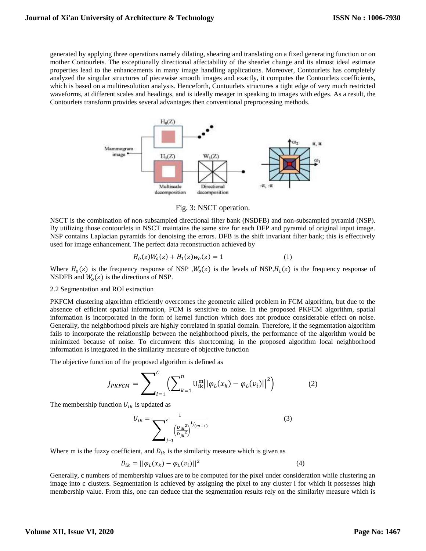generated by applying three operations namely dilating, shearing and translating on a fixed generating function or on mother Contourlets. The exceptionally directional affectability of the shearlet change and its almost ideal estimate properties lead to the enhancements in many image handling applications. Moreover, Contourlets has completely analyzed the singular structures of piecewise smooth images and exactly, it computes the Contourlets coefficients, which is based on a multiresolution analysis. Henceforth, Contourlets structures a tight edge of very much restricted waveforms, at different scales and headings, and is ideally meager in speaking to images with edges. As a result, the Contourlets transform provides several advantages then conventional preprocessing methods.



Fig. 3: NSCT operation.

NSCT is the combination of non-subsampled directional filter bank (NSDFB) and non-subsampled pyramid (NSP). By utilizing those contourlets in NSCT maintains the same size for each DFP and pyramid of original input image. NSP contains Laplacian pyramids for denoising the errors. DFB is the shift invariant filter bank; this is effectively used for image enhancement. The perfect data reconstruction achieved by

$$
H_o(z)W_o(z) + H_1(z)w_o(z) = 1
$$
 (1)

Where  $H_0(z)$  is the frequency response of NSP,  $W_0(z)$  is the levels of NSP,  $H_1(z)$  is the frequency response of NSDFB and  $W_0(z)$  is the directions of NSP.

## 2.2 Segmentation and ROI extraction

PKFCM clustering algorithm efficiently overcomes the geometric allied problem in FCM algorithm, but due to the absence of efficient spatial information, FCM is sensitive to noise. In the proposed PKFCM algorithm, spatial information is incorporated in the form of kernel function which does not produce considerable effect on noise. Generally, the neighborhood pixels are highly correlated in spatial domain. Therefore, if the segmentation algorithm fails to incorporate the relationship between the neighborhood pixels, the performance of the algorithm would be minimized because of noise. To circumvent this shortcoming, in the proposed algorithm local neighborhood information is integrated in the similarity measure of objective function

The objective function of the proposed algorithm is defined as

$$
J_{PKFCM} = \sum_{i=1}^{C} \left( \sum_{k=1}^{n} \mathbf{U}_{ik}^{m} || \varphi_{L}(x_{k}) - \varphi_{L}(v_{i}) ||^{2} \right)
$$
(2)

The membership function  $U_{ik}$  is updated as

$$
U_{ik} = \frac{1}{\sum_{j=1}^{c} \left(\frac{D_{ik}^2}{D_{jk}^2}\right)^{1/(m-1)}}\tag{3}
$$

Where m is the fuzzy coefficient, and  $D_{ik}$  is the similarity measure which is given as

$$
D_{ik} = ||\varphi_L(x_k) - \varphi_L(v_i)||^2
$$
 (4)

Generally, c numbers of membership values are to be computed for the pixel under consideration while clustering an image into c clusters. Segmentation is achieved by assigning the pixel to any cluster i for which it possesses high membership value. From this, one can deduce that the segmentation results rely on the similarity measure which is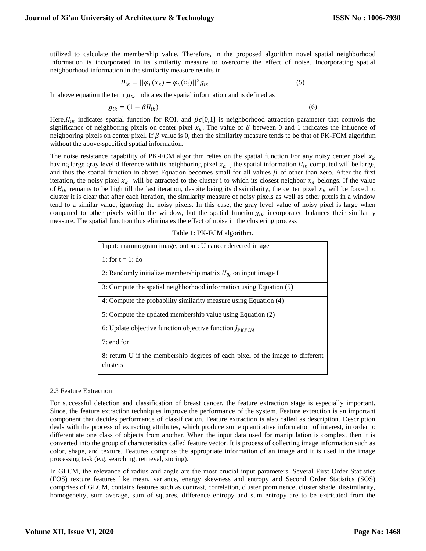utilized to calculate the membership value. Therefore, in the proposed algorithm novel spatial neighborhood information is incorporated in its similarity measure to overcome the effect of noise. Incorporating spatial neighborhood information in the similarity measure results in

$$
D_{ik} = ||\varphi_L(x_k) - \varphi_L(v_i)||^2 g_{ik}
$$
 (5)

In above equation the term  $g_{ik}$  indicates the spatial information and is defined as

$$
g_{ik} = (1 - \beta H_{ik})
$$
\n<sup>(6)</sup>

Here,  $H_{ik}$  indicates spatial function for ROI, and  $\beta \epsilon [0,1]$  is neighborhood attraction parameter that controls the significance of neighboring pixels on center pixel  $x_k$ . The value of  $\beta$  between 0 and 1 indicates the influence of neighboring pixels on center pixel. If  $\beta$  value is 0, then the similarity measure tends to be that of PK-FCM algorithm without the above-specified spatial information.

The noise resistance capability of PK-FCM algorithm relies on the spatial function For any noisy center pixel  $x_k$ having large gray level difference with its neighboring pixel  $x_a$ , the spatial information  $H_{ik}$  computed will be large, and thus the spatial function in above Equation becomes small for all values  $\beta$  of other than zero. After the first iteration, the noisy pixel  $x_k$  will be attracted to the cluster i to which its closest neighbor  $x_a$  belongs. If the value of  $H_{ik}$  remains to be high till the last iteration, despite being its dissimilarity, the center pixel  $x_k$  will be forced to cluster it is clear that after each iteration, the similarity measure of noisy pixels as well as other pixels in a window tend to a similar value, ignoring the noisy pixels. In this case, the gray level value of noisy pixel is large when compared to other pixels within the window, but the spatial function  $g_{ik}$  incorporated balances their similarity measure. The spatial function thus eliminates the effect of noise in the clustering process

## Table 1: PK-FCM algorithm.

| Input: mammogram image, output: U cancer detected image                                   |
|-------------------------------------------------------------------------------------------|
| 1: for $t = 1$ : do                                                                       |
| 2: Randomly initialize membership matrix $U_{ik}$ on input image I                        |
| 3: Compute the spatial neighborhood information using Equation (5)                        |
| 4: Compute the probability similarity measure using Equation (4)                          |
| 5: Compute the updated membership value using Equation (2)                                |
| 6: Update objective function objective function $J_{PKFCM}$                               |
| $7:$ end for                                                                              |
| 8: return U if the membership degrees of each pixel of the image to different<br>clusters |

## 2.3 Feature Extraction

For successful detection and classification of breast cancer, the feature extraction stage is especially important. Since, the feature extraction techniques improve the performance of the system. Feature extraction is an important component that decides performance of classification. Feature extraction is also called as description. Description deals with the process of extracting attributes, which produce some quantitative information of interest, in order to differentiate one class of objects from another. When the input data used for manipulation is complex, then it is converted into the group of characteristics called feature vector. It is process of collecting image information such as color, shape, and texture. Features comprise the appropriate information of an image and it is used in the image processing task (e.g. searching, retrieval, storing).

In GLCM, the relevance of radius and angle are the most crucial input parameters. Several First Order Statistics (FOS) texture features like mean, variance, energy skewness and entropy and Second Order Statistics (SOS) comprises of GLCM, contains features such as contrast, correlation, cluster prominence, cluster shade, dissimilarity, homogeneity, sum average, sum of squares, difference entropy and sum entropy are to be extricated from the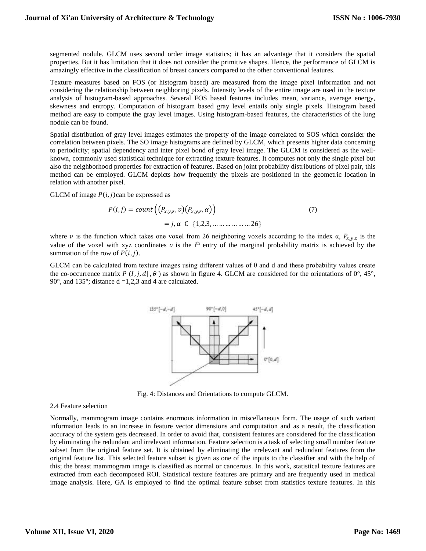segmented nodule. GLCM uses second order image statistics; it has an advantage that it considers the spatial properties. But it has limitation that it does not consider the primitive shapes. Hence, the performance of GLCM is amazingly effective in the classification of breast cancers compared to the other conventional features.

Texture measures based on FOS (or histogram based) are measured from the image pixel information and not considering the relationship between neighboring pixels. Intensity levels of the entire image are used in the texture analysis of histogram-based approaches. Several FOS based features includes mean, variance, average energy, skewness and entropy. Computation of histogram based gray level entails only single pixels. Histogram based method are easy to compute the gray level images. Using histogram-based features, the characteristics of the lung nodule can be found.

Spatial distribution of gray level images estimates the property of the image correlated to SOS which consider the correlation between pixels. The SO image histograms are defined by GLCM, which presents higher data concerning to periodicity; spatial dependency and inter pixel bond of gray level image. The GLCM is considered as the wellknown, commonly used statistical technique for extracting texture features. It computes not only the single pixel but also the neighborhood properties for extraction of features. Based on joint probability distributions of pixel pair, this method can be employed. GLCM depicts how frequently the pixels are positioned in the geometric location in relation with another pixel.

GLCM of image  $P(i, j)$ can be expressed as

$$
P(i,j) = count\left((P_{x,y,z}, v)(P_{x,y,z}, \alpha)\right)
$$
  
= j,  $\alpha \in \{1,2,3, \dots \dots \dots \dots \dots \dots \dots 26\}$  (7)

where v is the function which takes one voxel from 26 neighboring voxels according to the index  $\alpha$ ,  $P_{x,y,z}$  is the value of the voxel with xyz coordinates  $\alpha$  is the i<sup>th</sup> entry of the marginal probability matrix is achieved by the summation of the row of  $P(i, j)$ .

GLCM can be calculated from texture images using different values of  $\theta$  and d and these probability values create the co-occurrence matrix  $P(I, j, d |, \theta)$  as shown in figure 4. GLCM are considered for the orientations of  $0^{\circ}$ , 45°, 90 $^{\circ}$ , and 135 $^{\circ}$ ; distance d =1,2,3 and 4 are calculated.



Fig. 4: Distances and Orientations to compute GLCM.

## 2.4 Feature selection

Normally, mammogram image contains enormous information in miscellaneous form. The usage of such variant information leads to an increase in feature vector dimensions and computation and as a result, the classification accuracy of the system gets decreased. In order to avoid that, consistent features are considered for the classification by eliminating the redundant and irrelevant information. Feature selection is a task of selecting small number feature subset from the original feature set. It is obtained by eliminating the irrelevant and redundant features from the original feature list. This selected feature subset is given as one of the inputs to the classifier and with the help of this; the breast mammogram image is classified as normal or cancerous. In this work, statistical texture features are extracted from each decomposed ROI. Statistical texture features are primary and are frequently used in medical image analysis. Here, GA is employed to find the optimal feature subset from statistics texture features. In this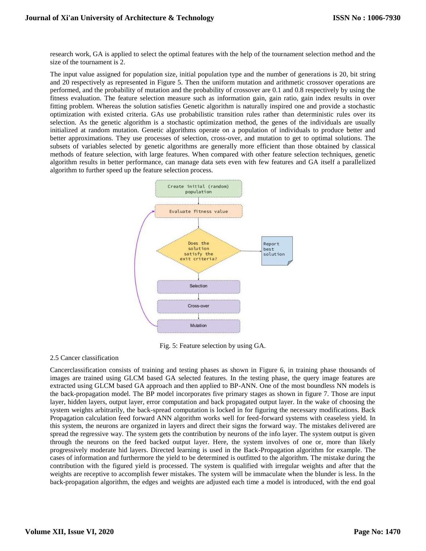research work, GA is applied to select the optimal features with the help of the tournament selection method and the size of the tournament is 2.

The input value assigned for population size, initial population type and the number of generations is 20, bit string and 20 respectively as represented in Figure 5. Then the uniform mutation and arithmetic crossover operations are performed, and the probability of mutation and the probability of crossover are 0.1 and 0.8 respectively by using the fitness evaluation. The feature selection measure such as information gain, gain ratio, gain index results in over fitting problem. Whereas the solution satisfies Genetic algorithm is naturally inspired one and provide a stochastic optimization with existed criteria. GAs use probabilistic transition rules rather than deterministic rules over its selection. As the genetic algorithm is a stochastic optimization method, the genes of the individuals are usually initialized at random mutation. Genetic algorithms operate on a population of individuals to produce better and better approximations. They use processes of selection, cross-over, and mutation to get to optimal solutions. The subsets of variables selected by genetic algorithms are generally more efficient than those obtained by classical methods of feature selection, with large features. When compared with other feature selection techniques, genetic algorithm results in better performance, can manage data sets even with few features and GA itself a parallelized algorithm to further speed up the feature selection process.



Fig. 5: Feature selection by using GA.

# 2.5 Cancer classification

Cancerclassification consists of training and testing phases as shown in Figure 6, in training phase thousands of images are trained using GLCM based GA selected features. In the testing phase, the query image features are extracted using GLCM based GA approach and then applied to BP-ANN. One of the most boundless NN models is the back-propagation model. The BP model incorporates five primary stages as shown in figure 7. Those are input layer, hidden layers, output layer, error computation and back propagated output layer. In the wake of choosing the system weights arbitrarily, the back-spread computation is locked in for figuring the necessary modifications. Back Propagation calculation feed forward ANN algorithm works well for feed-forward systems with ceaseless yield. In this system, the neurons are organized in layers and direct their signs the forward way. The mistakes delivered are spread the regressive way. The system gets the contribution by neurons of the info layer. The system output is given through the neurons on the feed backed output layer. Here, the system involves of one or, more than likely progressively moderate hid layers. Directed learning is used in the Back-Propagation algorithm for example. The cases of information and furthermore the yield to be determined is outfitted to the algorithm. The mistake during the contribution with the figured yield is processed. The system is qualified with irregular weights and after that the weights are receptive to accomplish fewer mistakes. The system will be immaculate when the blunder is less. In the back-propagation algorithm, the edges and weights are adjusted each time a model is introduced, with the end goal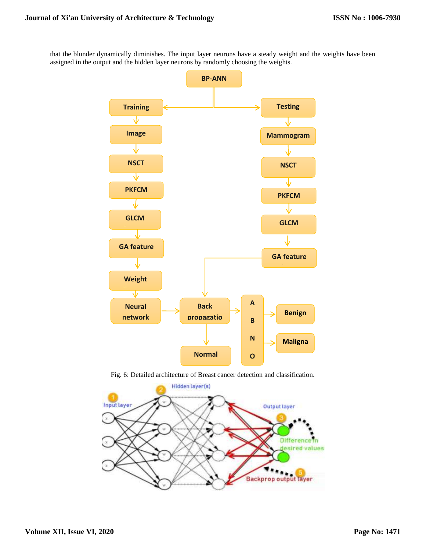that the blunder dynamically diminishes. The input layer neurons have a steady weight and the weights have been assigned in the output and the hidden layer neurons by randomly choosing the weights.



Fig. 6: Detailed architecture of Breast cancer detection and classification. **R**

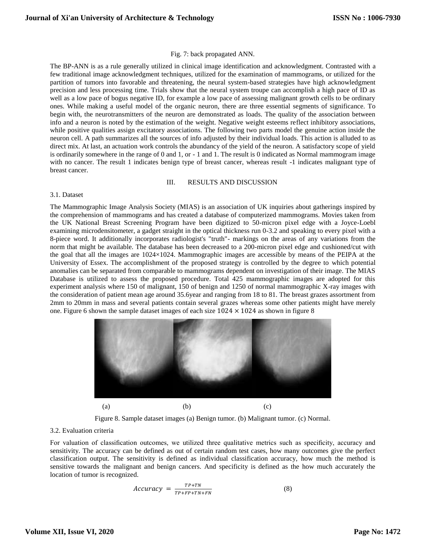# Fig. 7: back propagated ANN.

The BP-ANN is as a rule generally utilized in clinical image identification and acknowledgment. Contrasted with a few traditional image acknowledgment techniques, utilized for the examination of mammograms, or utilized for the partition of tumors into favorable and threatening, the neural system-based strategies have high acknowledgment precision and less processing time. Trials show that the neural system troupe can accomplish a high pace of ID as well as a low pace of bogus negative ID, for example a low pace of assessing malignant growth cells to be ordinary ones. While making a useful model of the organic neuron, there are three essential segments of significance. To begin with, the neurotransmitters of the neuron are demonstrated as loads. The quality of the association between info and a neuron is noted by the estimation of the weight. Negative weight esteems reflect inhibitory associations, while positive qualities assign excitatory associations. The following two parts model the genuine action inside the neuron cell. A path summarizes all the sources of info adjusted by their individual loads. This action is alluded to as direct mix. At last, an actuation work controls the abundancy of the yield of the neuron. A satisfactory scope of yield is ordinarily somewhere in the range of 0 and 1, or - 1 and 1. The result is 0 indicated as Normal mammogram image with no cancer. The result 1 indicates benign type of breast cancer, whereas result -1 indicates malignant type of breast cancer.

## III. RESULTS AND DISCUSSION

## 3.1. Dataset

The Mammographic Image Analysis Society (MIAS) is an association of UK inquiries about gatherings inspired by the comprehension of mammograms and has created a database of computerized mammograms. Movies taken from the UK National Breast Screening Program have been digitized to 50-micron pixel edge with a Joyce-Loebl examining microdensitometer, a gadget straight in the optical thickness run 0-3.2 and speaking to every pixel with a 8-piece word. It additionally incorporates radiologist's "truth"- markings on the areas of any variations from the norm that might be available. The database has been decreased to a 200-micron pixel edge and cushioned/cut with the goal that all the images are 1024×1024. Mammographic images are accessible by means of the PEIPA at the University of Essex. The accomplishment of the proposed strategy is controlled by the degree to which potential anomalies can be separated from comparable to mammograms dependent on investigation of their image. The MIAS Database is utilized to assess the proposed procedure. Total 425 mammographic images are adopted for this experiment analysis where 150 of malignant, 150 of benign and 1250 of normal mammographic X-ray images with the consideration of patient mean age around 35.6year and ranging from 18 to 81. The breast grazes assortment from 2mm to 20mm in mass and several patients contain several grazes whereas some other patients might have merely one. Figure 6 shown the sample dataset images of each size  $1024 \times 1024$  as shown in figure 8



Figure 8. Sample dataset images (a) Benign tumor. (b) Malignant tumor. (c) Normal.

## 3.2. Evaluation criteria

For valuation of classification outcomes, we utilized three qualitative metrics such as specificity, accuracy and sensitivity. The accuracy can be defined as out of certain random test cases, how many outcomes give the perfect classification output. The sensitivity is defined as individual classification accuracy, how much the method is sensitive towards the malignant and benign cancers. And specificity is defined as the how much accurately the location of tumor is recognized.

$$
Accuracy = \frac{TP+TN}{TP+FP+TN+FN}
$$
 (8)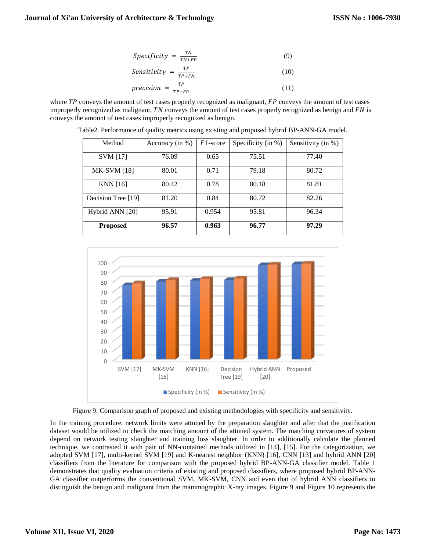$$
Specificity = \frac{TN}{TN + FP}
$$
 (9)

$$
Sensitivity = \frac{TP}{TP+FN}
$$
 (10)

$$
precision = \frac{TP}{TP + FP}
$$
 (11)

where  $TP$  conveys the amount of test cases properly recognized as malignant,  $FP$  conveys the amount of test cases improperly recognized as malignant,  $TN$  conveys the amount of test cases properly recognized as benign and  $FN$  is conveys the amount of test cases improperly recognized as benign.

| Method             | Accuracy (in $\%$ ) | $F1$ -score | Specificity (in %) | Sensitivity (in %) |
|--------------------|---------------------|-------------|--------------------|--------------------|
| <b>SVM</b> [17]    | 76.09               | 0.65        | 75.51              | 77.40              |
| <b>MK-SVM</b> [18] | 80.01               | 0.71        | 79.18              | 80.72              |
| <b>KNN</b> [16]    | 80.42               | 0.78        | 80.18              | 81.81              |
| Decision Tree [19] | 81.20               | 0.84        | 80.72              | 82.26              |
| Hybrid ANN [20]    | 95.91               | 0.954       | 95.81              | 96.34              |
| <b>Proposed</b>    | 96.57               | 0.963       | 96.77              | 97.29              |

Table2. Performance of quality metrics using existing and proposed hybrid BP-ANN-GA model.



Figure 9. Comparison graph of proposed and existing methodologies with specificity and sensitivity.

In the training procedure, network limits were attuned by the preparation slaughter and after that the justification dataset would be utilized to check the matching amount of the attuned system. The matching curvatures of system depend on network testing slaughter and training loss slaughter. In order to additionally calculate the planned technique, we contrasted it with pair of NN-contained methods utilized in [14], [15]. For the categorization, we adopted SVM [17], multi-kernel SVM [19] and K-nearest neighbor (KNN) [16], CNN [13] and hybrid ANN [20] classifiers from the literature for comparison with the proposed hybrid BP-ANN-GA classifier model. Table 1 demonstrates that quality evaluation criteria of existing and proposed classifiers, where proposed hybrid BP-ANN-GA classifier outperforms the conventional SVM, MK-SVM, CNN and even that of hybrid ANN classifiers to distinguish the benign and malignant from the mammographic X-ray images. Figure 9 and Figure 10 represents the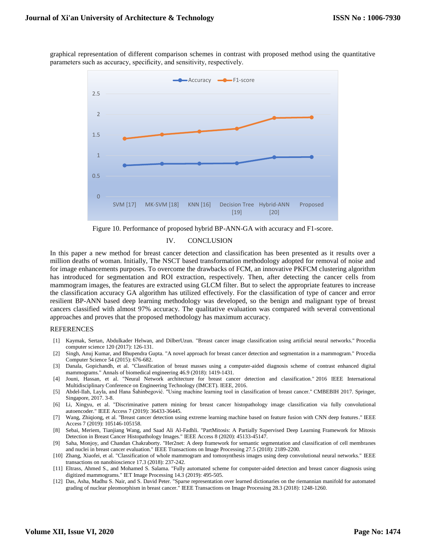graphical representation of different comparison schemes in contrast with proposed method using the quantitative parameters such as accuracy, specificity, and sensitivity, respectively.



Figure 10. Performance of proposed hybrid BP-ANN-GA with accuracy and F1-score.

## IV. CONCLUSION

In this paper a new method for breast cancer detection and classification has been presented as it results over a million deaths of woman. Initially, The NSCT based transformation methodology adopted for removal of noise and for image enhancements purposes. To overcome the drawbacks of FCM, an innovative PKFCM clustering algorithm has introduced for segmentation and ROI extraction, respectively. Then, after detecting the cancer cells from mammogram images, the features are extracted using GLCM filter. But to select the appropriate features to increase the classification accuracy GA algorithm has utilized effectively. For the classification of type of cancer and error resilient BP-ANN based deep learning methodology was developed, so the benign and malignant type of breast cancers classified with almost 97% accuracy. The qualitative evaluation was compared with several conventional approaches and proves that the proposed methodology has maximum accuracy.

## **REFERENCES**

- [1] Kaymak, Sertan, Abdulkader Helwan, and DilberUzun. "Breast cancer image classification using artificial neural networks." Procedia computer science 120 (2017): 126-131.
- [2] Singh, Anuj Kumar, and Bhupendra Gupta. "A novel approach for breast cancer detection and segmentation in a mammogram." Procedia Computer Science 54 (2015): 676-682.
- [3] Danala, Gopichandh, et al. "Classification of breast masses using a computer-aided diagnosis scheme of contrast enhanced digital mammograms." Annals of biomedical engineering 46.9 (2018): 1419-1431.
- [4] Jouni, Hassan, et al. "Neural Network architecture for breast cancer detection and classification." 2016 IEEE International Multidisciplinary Conference on Engineering Technology (IMCET). IEEE, 2016.
- [5] Abdel-Ilah, Layla, and Hana Šahinbegović. "Using machine learning tool in classification of breast cancer." CMBEBIH 2017. Springer, Singapore, 2017. 3-8.
- [6] Li, Xingyu, et al. "Discriminative pattern mining for breast cancer histopathology image classification via fully convolutional autoencoder." IEEE Access 7 (2019): 36433-36445.
- [7] Wang, Zhiqiong, et al. "Breast cancer detection using extreme learning machine based on feature fusion with CNN deep features." IEEE Access 7 (2019): 105146-105158.
- [8] Sebai, Meriem, Tianjiang Wang, and Saad Ali Al-Fadhli. "PartMitosis: A Partially Supervised Deep Learning Framework for Mitosis Detection in Breast Cancer Histopathology Images." IEEE Access 8 (2020): 45133-45147.
- [9] Saha, Monjoy, and Chandan Chakraborty. "Her2net: A deep framework for semantic segmentation and classification of cell membranes and nuclei in breast cancer evaluation." IEEE Transactions on Image Processing 27.5 (2018): 2189-2200.
- [10] Zhang, Xiaofei, et al. "Classification of whole mammogram and tomosynthesis images using deep convolutional neural networks." IEEE transactions on nanobioscience 17.3 (2018): 237-242.
- [11] Eltrass, Ahmed S., and Mohamed S. Salama. "Fully automated scheme for computer-aided detection and breast cancer diagnosis using digitized mammograms." IET Image Processing 14.3 (2019): 495-505.
- [12] Das, Asha, Madhu S. Nair, and S. David Peter. "Sparse representation over learned dictionaries on the riemannian manifold for automated grading of nuclear pleomorphism in breast cancer." IEEE Transactions on Image Processing 28.3 (2018): 1248-1260.